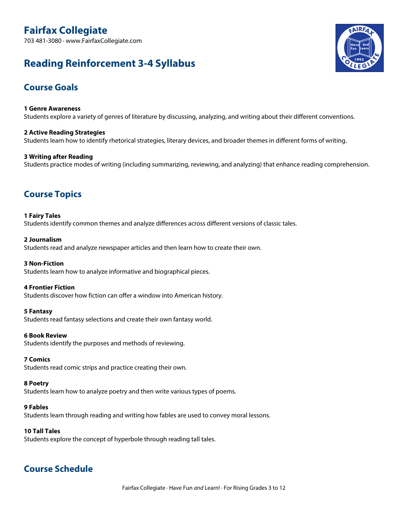# **Reading Reinforcement 3-4 Syllabus**



## **Course Goals**

**1 Genre Awareness** Students explore a variety of genres of literature by discussing, analyzing, and writing about their different conventions.

**2 Active Reading Strategies** Students learn how to identify rhetorical strategies, literary devices, and broader themes in different forms of writing.

**3 Writing after Reading** Students practice modes of writing (including summarizing, reviewing, and analyzing) that enhance reading comprehension.

## **Course Topics**

**1 Fairy Tales** Students identify common themes and analyze differences across different versions of classic tales.

#### **2 Journalism**

Students read and analyze newspaper articles and then learn how to create their own.

**3 Non-Fiction**

Students learn how to analyze informative and biographical pieces.

#### **4 Frontier Fiction**

Students discover how fiction can offer a window into American history.

#### **5 Fantasy**

Students read fantasy selections and create their own fantasy world.

#### **6 Book Review**

Students identify the purposes and methods of reviewing.

#### **7 Comics**

Students read comic strips and practice creating their own.

#### **8 Poetry**

Students learn how to analyze poetry and then write various types of poems.

#### **9 Fables**

Students learn through reading and writing how fables are used to convey moral lessons.

#### **10 Tall Tales**

Students explore the concept of hyperbole through reading tall tales.

## **Course Schedule**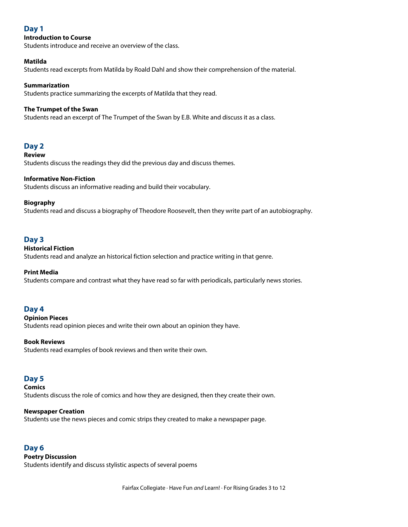## **Day 1**

#### **Introduction to Course**

Students introduce and receive an overview of the class.

#### **Matilda**

Students read excerpts from Matilda by Roald Dahl and show their comprehension of the material.

#### **Summarization**

Students practice summarizing the excerpts of Matilda that they read.

#### **The Trumpet of the Swan**

Students read an excerpt of The Trumpet of the Swan by E.B. White and discuss it as a class.

## **Day 2**

#### **Review**

Students discuss the readings they did the previous day and discuss themes.

#### **Informative Non-Fiction**

Students discuss an informative reading and build their vocabulary.

#### **Biography**

Students read and discuss a biography of Theodore Roosevelt, then they write part of an autobiography.

### **Day 3**

#### **Historical Fiction**

Students read and analyze an historical fiction selection and practice writing in that genre.

#### **Print Media**

Students compare and contrast what they have read so far with periodicals, particularly news stories.

### **Day 4**

**Opinion Pieces**

Students read opinion pieces and write their own about an opinion they have.

#### **Book Reviews**

Students read examples of book reviews and then write their own.

#### **Day 5**

**Comics** Students discuss the role of comics and how they are designed, then they create their own.

#### **Newspaper Creation**

Students use the news pieces and comic strips they created to make a newspaper page.

#### **Day 6**

#### **Poetry Discussion**

Students identify and discuss stylistic aspects of several poems